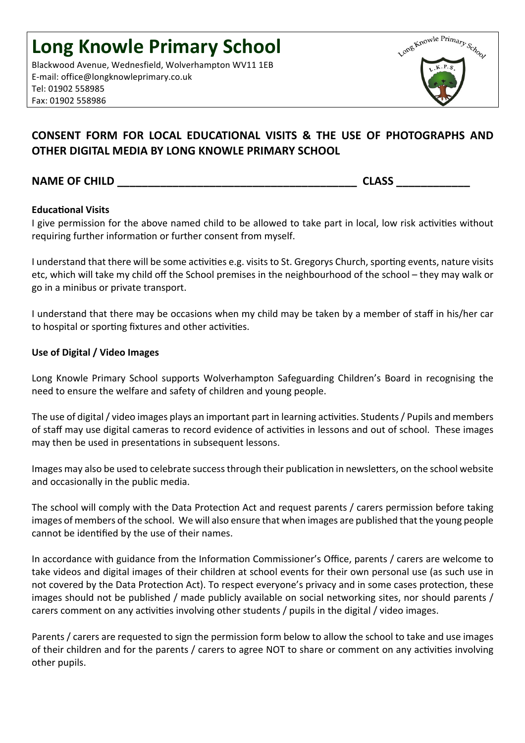Blackwood Avenue, Wednesfield, Wolverhampton WV11 1EB E-mail: office@longknowleprimary.co.uk Tel: 01902 558985 Fax: 01902 558986



# **CONSENT FORM FOR LOCAL EDUCATIONAL VISITS & THE USE OF PHOTOGRAPHS AND OTHER DIGITAL MEDIA BY LONG KNOWLE PRIMARY SCHOOL**

## **NAME OF CHILD NAME OF CHILD**

### **Educational Visits**

I give permission for the above named child to be allowed to take part in local, low risk activities without requiring further information or further consent from myself.

I understand that there will be some activities e.g. visits to St. Gregorys Church, sporting events, nature visits etc, which will take my child off the School premises in the neighbourhood of the school – they may walk or go in a minibus or private transport.

I understand that there may be occasions when my child may be taken by a member of staff in his/her car to hospital or sporting fixtures and other activities.

#### Use of Digital / Video Images

Long Knowle Primary School supports Wolverhampton Safeguarding Children's Board in recognising the need to ensure the welfare and safety of children and young people.

The use of digital / video images plays an important part in learning activities. Students / Pupils and members of staff may use digital cameras to record evidence of activities in lessons and out of school. These images may then be used in presentations in subsequent lessons.

Images may also be used to celebrate success through their publication in newsletters, on the school website and occasionally in the public media.

The school will comply with the Data Protection Act and request parents / carers permission before taking images of members of the school. We will also ensure that when images are published that the young people cannot be identified by the use of their names.

In accordance with guidance from the Information Commissioner's Office, parents / carers are welcome to take videos and digital images of their children at school events for their own personal use (as such use in not covered by the Data Protection Act). To respect everyone's privacy and in some cases protection, these images should not be published / made publicly available on social networking sites, nor should parents / carers comment on any activities involving other students / pupils in the digital / video images.

Parents / carers are requested to sign the permission form below to allow the school to take and use images of their children and for the parents / carers to agree NOT to share or comment on any activities involving other pupils.